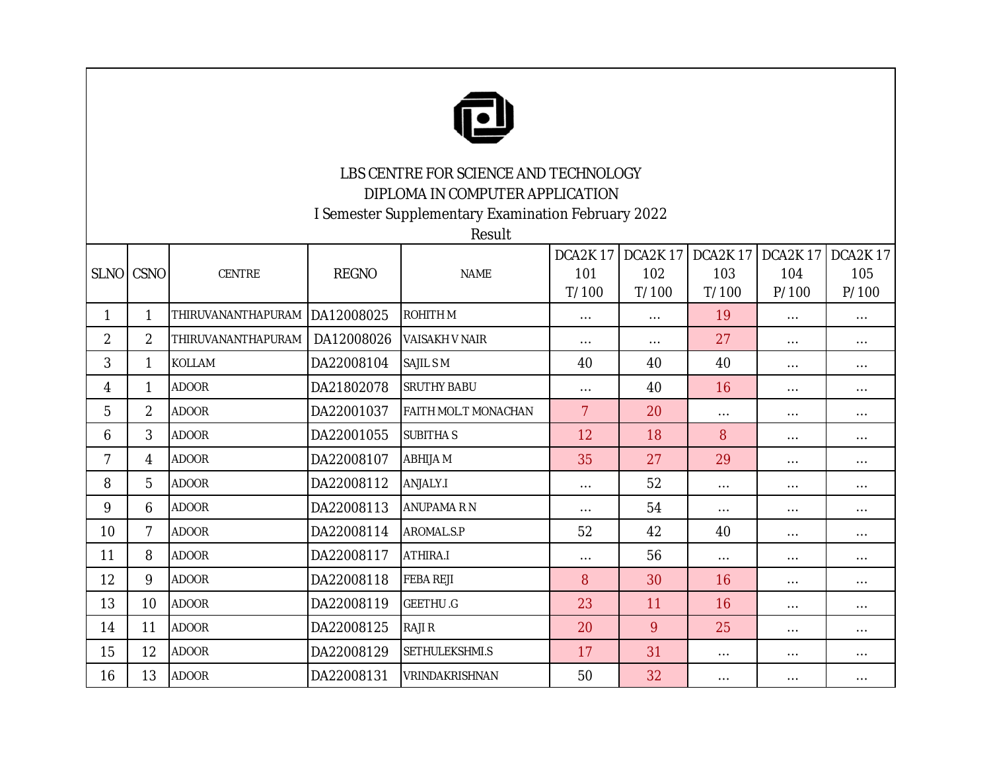

## LBS CENTRE FOR SCIENCE AND TECHNOLOGY DIPLOMA IN COMPUTER APPLICATION

I Semester Supplementary Examination February 2022

Result

|                | SLNO CSNO       | CENTRE             | <b>REGNO</b> | <b>NAME</b>          | DCA2K17<br>101<br>T/100 | DCA2K17<br>102<br>T/100 | DCA2K 17<br>103<br>T/100 | DCA2K17<br>104<br>P/100 | <b>DCA2K17</b><br>105<br>P/100 |
|----------------|-----------------|--------------------|--------------|----------------------|-------------------------|-------------------------|--------------------------|-------------------------|--------------------------------|
| 1              | 1               | THIRUVANANTHAPURAM | DA12008025   | <b>ROHITHM</b>       | $\cdots$                | $\cdots$                | 19                       | $\cdots$                | $\cdots$                       |
| $\overline{2}$ | $\overline{2}$  | THIRUVANANTHAPURAM | DA12008026   | VAISAKH V NAIR       | $\cdots$                | $\cdots$                | 27                       | $\cdots$                | $\cdots$                       |
| 3              | 1               | <b>KOLLAM</b>      | DA22008104   | <b>SAJIL SM</b>      | 40                      | 40                      | 40                       | $\cdots$                | $\cdots$                       |
| 4              | 1               | <b>ADOOR</b>       | DA21802078   | <b>SRUTHY BABU</b>   | $\ldots$                | 40                      | 16                       | $\cdots$                | $\cdots$                       |
| 5              | 2               | <b>ADOOR</b>       | DA22001037   | FAITH MOL.T MONACHAN | $\overline{7}$          | 20                      | $\cdots$                 | $\cdots$                | $\cdots$                       |
| 6              | 3               | <b>ADOOR</b>       | DA22001055   | <b>SUBITHAS</b>      | 12                      | 18                      | 8                        | $\ldots$                | $\cdots$                       |
| 7              | 4               | <b>ADOOR</b>       | DA22008107   | ABHIJA M             | 35                      | 27                      | 29                       | $\cdots$                | $\cdots$                       |
| 8              | 5               | <b>ADOOR</b>       | DA22008112   | ANJALY.I             | $\cdots$                | 52                      | $\cdots$                 | $\cdots$                | $\cdots$                       |
| 9              | 6               | <b>ADOOR</b>       | DA22008113   | <b>ANUPAMA R N</b>   | $\cdots$                | 54                      | $\cdots$                 | $\cdots$                | $\cdots$                       |
| 10             | 7               | <b>ADOOR</b>       | DA22008114   | AROMAL.S.P           | 52                      | 42                      | 40                       | $\cdots$                | $\cdots$                       |
| 11             | 8               | <b>ADOOR</b>       | DA22008117   | ATHIRA.I             | $\cdots$                | 56                      | $\cdots$                 | $\cdots$                | $\cdots$                       |
| 12             | 9               | <b>ADOOR</b>       | DA22008118   | <b>FEBA REJI</b>     | 8                       | 30                      | 16                       | $\cdots$                | $\cdots$                       |
| 13             | 10 <sup>°</sup> | <b>ADOOR</b>       | DA22008119   | <b>GEETHU.G</b>      | 23                      | 11                      | 16                       | $\cdots$                | $\cdots$                       |
| 14             | 11              | <b>ADOOR</b>       | DA22008125   | <b>RAJI R</b>        | 20                      | 9                       | 25                       | $\cdots$                | $\cdots$                       |
| 15             | 12              | <b>ADOOR</b>       | DA22008129   | SETHULEKSHMI.S       | 17                      | 31                      | $\cdots$                 | $\cdots$                | $\cdots$                       |
| 16             | 13              | <b>ADOOR</b>       | DA22008131   | VRINDAKRISHNAN       | 50                      | 32                      | $\cdots$                 | $\cdots$                | $\cdots$                       |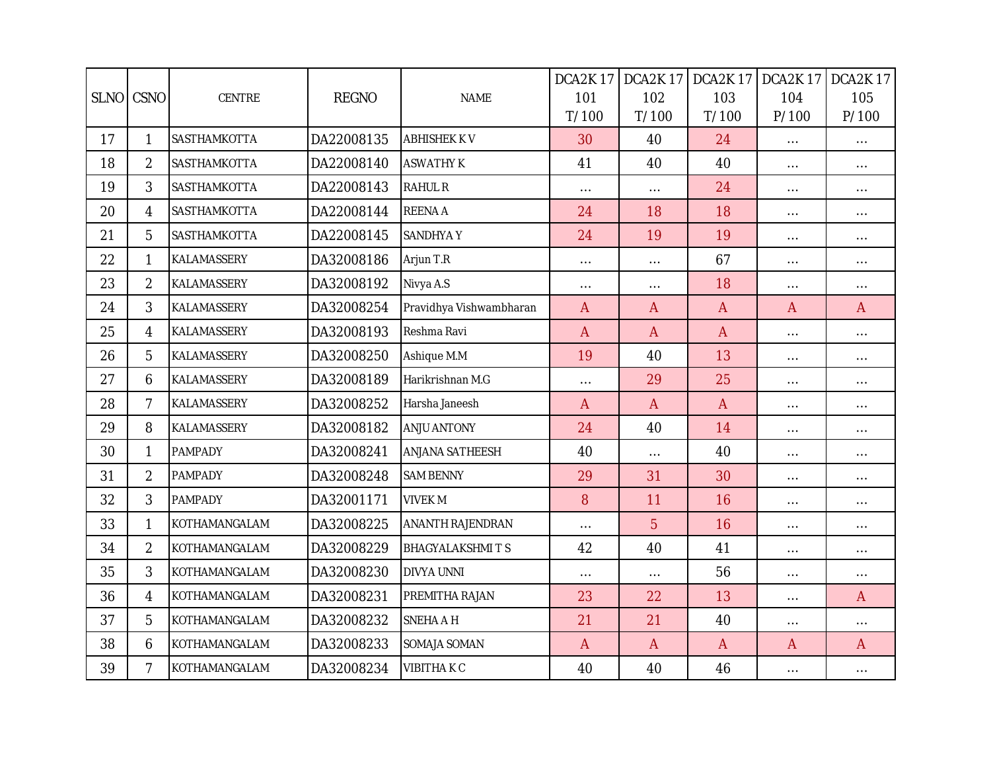|    | SLNO CSNO      | CENTRE             | <b>REGNO</b> | <b>NAME</b>             | DCA2K17<br>101 | DCA2K17<br>102 | DCA2K17<br>103<br>T/100 | DCA2K17<br>104    | DCA2K17<br>105    |
|----|----------------|--------------------|--------------|-------------------------|----------------|----------------|-------------------------|-------------------|-------------------|
| 17 | $\mathbf{1}$   | SASTHAMKOTTA       | DA22008135   | <b>ABHISHEK KV</b>      | T/100<br>30    | T/100<br>40    | 24                      | P/100<br>$\ldots$ | P/100<br>$\ldots$ |
| 18 | $\overline{2}$ | SASTHAMKOTTA       | DA22008140   | <b>ASWATHY K</b>        | 41             | 40             | 40                      | $\cdots$          | $\cdots$          |
| 19 | 3              | SASTHAMKOTTA       | DA22008143   | <b>RAHUL R</b>          | $\cdots$       | $\ldots$       | 24                      | $\cdots$          | $\cdots$          |
| 20 | $\overline{4}$ | SASTHAMKOTTA       | DA22008144   | <b>REENA A</b>          | 24             | 18             | 18                      | $\cdots$          | $\cdots$          |
| 21 | 5              | SASTHAMKOTTA       | DA22008145   | <b>SANDHYAY</b>         | 24             | 19             | 19                      | $\cdots$          | $\ldots$          |
| 22 | $\mathbf{1}$   | KALAMASSERY        | DA32008186   | Arjun T.R               | $\cdots$       | $\cdots$       | 67                      | $\ldots$          | $\cdots$          |
| 23 | $\overline{2}$ | KALAMASSERY        | DA32008192   | Nivya A.S               | $\cdots$       | $\ldots$       | 18                      | $\cdots$          | $\ldots$          |
| 24 | 3              | KALAMASSERY        | DA32008254   | Pravidhya Vishwambharan | $\mathsf{A}$   | $\overline{A}$ | $\mathsf{A}$            | $\mathsf{A}$      | $\overline{A}$    |
| 25 | 4              | KALAMASSERY        | DA32008193   | Reshma Ravi             | $\overline{A}$ | $\overline{A}$ | $\mathsf{A}$            | $\cdots$          | $\cdots$          |
| 26 | 5              | KALAMASSERY        | DA32008250   | Ashique M.M             | 19             | 40             | 13                      | $\cdots$          | $\cdots$          |
| 27 | 6              | KALAMASSERY        | DA32008189   | Harikrishnan M.G        | $\cdots$       | 29             | 25                      | $\ldots$          | $\cdots$          |
| 28 | $\overline{7}$ | KALAMASSERY        | DA32008252   | Harsha Janeesh          | $\overline{A}$ | $\overline{A}$ | $\overline{A}$          | $\ldots$          | $\cdots$          |
| 29 | 8              | <b>KALAMASSERY</b> | DA32008182   | <b>ANJU ANTONY</b>      | 24             | 40             | 14                      | $\ldots$          | $\ldots$          |
| 30 | $\mathbf{1}$   | <b>PAMPADY</b>     | DA32008241   | <b>ANJANA SATHEESH</b>  | 40             | $\ldots$       | 40                      | $\ldots$          | $\cdots$          |
| 31 | $\overline{2}$ | <b>PAMPADY</b>     | DA32008248   | <b>SAM BENNY</b>        | 29             | 31             | 30                      | $\ldots$          | $\cdots$          |
| 32 | 3              | <b>PAMPADY</b>     | DA32001171   | <b>VIVEK M</b>          | 8              | 11             | 16                      | $\cdots$          | $\cdots$          |
| 33 | 1              | KOTHAMANGALAM      | DA32008225   | <b>ANANTH RAJENDRAN</b> | $\cdots$       | 5              | 16                      | $\ldots$          | $\cdots$          |
| 34 | $\overline{2}$ | KOTHAMANGALAM      | DA32008229   | <b>BHAGYALAKSHMITS</b>  | 42             | 40             | 41                      | $\ldots$          | $\cdots$          |
| 35 | 3              | KOTHAMANGALAM      | DA32008230   | <b>DIVYA UNNI</b>       | $\cdots$       | $\ldots$       | 56                      | $\ldots$          | $\cdots$          |
| 36 | 4              | KOTHAMANGALAM      | DA32008231   | PREMITHA RAJAN          | 23             | 22             | 13                      | $\ldots$          | $\overline{A}$    |
| 37 | 5              | KOTHAMANGALAM      | DA32008232   | <b>SNEHA A H</b>        | 21             | 21             | 40                      | $\ldots$          | $\cdots$          |
| 38 | 6              | KOTHAMANGALAM      | DA32008233   | SOMAJA SOMAN            | $\mathsf{A}$   | $\overline{A}$ | $\mathsf{A}$            | $\mathsf{A}$      | $\mathsf{A}$      |
| 39 | $\overline{7}$ | KOTHAMANGALAM      | DA32008234   | <b>VIBITHAKC</b>        | 40             | 40             | 46                      | $\cdots$          | $\cdots$          |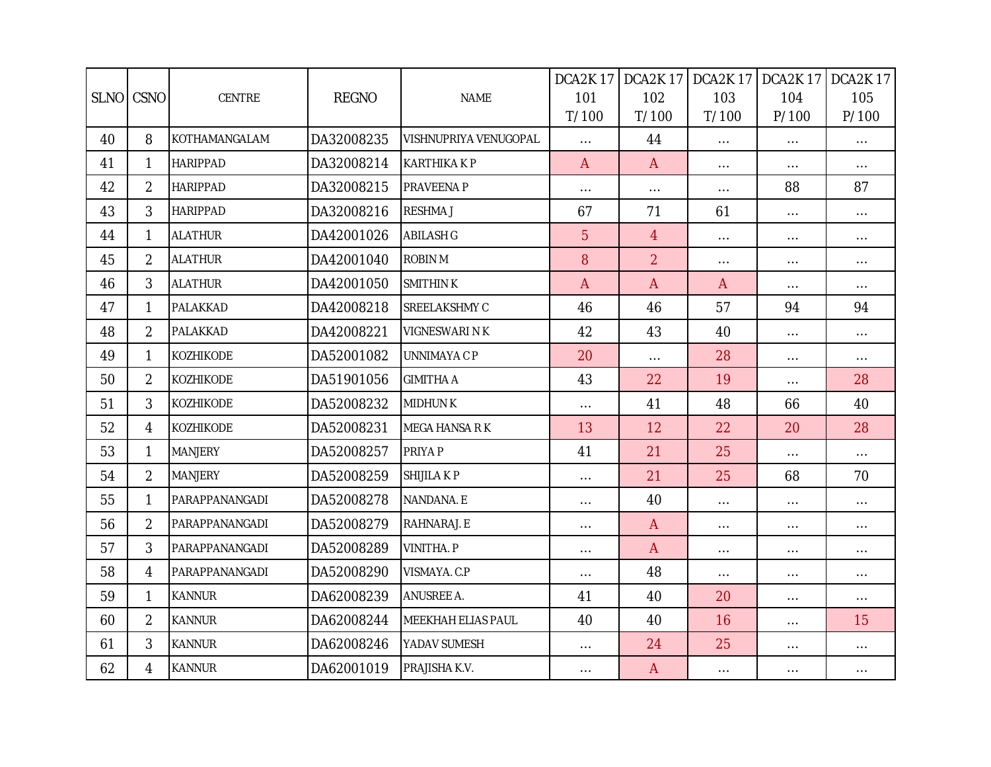|    |                |                 |              |                           | DCA2K17      | DCA2K17        |              | DCA2K 17   DCA2K 17 | <b>DCA2K17</b> |
|----|----------------|-----------------|--------------|---------------------------|--------------|----------------|--------------|---------------------|----------------|
|    | SLNO CSNO      | CENTRE          | <b>REGNO</b> | <b>NAME</b>               | 101          | 102            | 103          | 104                 | 105            |
|    |                |                 |              |                           | T/100        | T/100          | T/100        | P/100               | P/100          |
| 40 | 8              | KOTHAMANGALAM   | DA32008235   | VISHNUPRIYA VENUGOPAL     | $\ldots$     | 44             | $\ldots$     | $\ldots$            | $\ldots$       |
| 41 | $\mathbf{1}$   | <b>HARIPPAD</b> | DA32008214   | <b>KARTHIKAKP</b>         | $\mathsf{A}$ | $\overline{A}$ | $\ldots$     | $\ldots$            | $\ldots$       |
| 42 | $\overline{2}$ | <b>HARIPPAD</b> | DA32008215   | PRAVEENA P                | $\cdots$     | $\cdots$       | $\cdots$     | 88                  | 87             |
| 43 | 3              | <b>HARIPPAD</b> | DA32008216   | <b>RESHMAJ</b>            | 67           | 71             | 61           | $\ldots$            | $\ldots$       |
| 44 | $\mathbf{1}$   | <b>ALATHUR</b>  | DA42001026   | <b>ABILASH G</b>          | 5            | $\overline{4}$ | $\cdots$     | $\cdots$            | $\ldots$       |
| 45 | $\overline{2}$ | <b>ALATHUR</b>  | DA42001040   | <b>ROBIN M</b>            | 8            | $\overline{2}$ | $\cdots$     | $\cdots$            | $\ldots$       |
| 46 | 3              | <b>ALATHUR</b>  | DA42001050   | <b>SMITHINK</b>           | $\mathsf{A}$ | $\mathsf{A}$   | $\mathsf{A}$ | $\ldots$            | $\ldots$       |
| 47 | 1              | PALAKKAD        | DA42008218   | SREELAKSHMY C             | 46           | 46             | 57           | 94                  | 94             |
| 48 | $\overline{2}$ | PALAKKAD        | DA42008221   | VIGNESWARI N K            | 42           | 43             | 40           | $\ldots$            | $\ldots$       |
| 49 | $\mathbf{1}$   | KOZHIKODE       | DA52001082   | UNNIMAYA C P              | 20           | $\ldots$       | 28           | $\ldots$            | $\ldots$       |
| 50 | $\overline{2}$ | KOZHIKODE       | DA51901056   | <b>GIMITHA A</b>          | 43           | 22             | 19           | $\ldots$            | 28             |
| 51 | 3              | KOZHIKODE       | DA52008232   | <b>MIDHUNK</b>            | $\cdots$     | 41             | 48           | 66                  | 40             |
| 52 | 4              | KOZHIKODE       | DA52008231   | <b>MEGA HANSA R K</b>     | 13           | 12             | 22           | 20                  | 28             |
| 53 | 1              | <b>MANJERY</b>  | DA52008257   | PRIYA P                   | 41           | 21             | 25           | $\ldots$            | $\ldots$       |
| 54 | $\overline{2}$ | <b>MANJERY</b>  | DA52008259   | <b>SHIJILA K P</b>        | $\ldots$     | 21             | 25           | 68                  | 70             |
| 55 | $\mathbf{1}$   | PARAPPANANGADI  | DA52008278   | NANDANA. E                | $\cdots$     | 40             | $\ldots$     | $\ldots$            | $\ldots$       |
| 56 | $\overline{2}$ | PARAPPANANGADI  | DA52008279   | RAHNARAJ. E               | $\cdots$     | $\mathsf{A}$   | $\ldots$     | $\ldots$            | $\cdots$       |
| 57 | $\mathfrak{Z}$ | PARAPPANANGADI  | DA52008289   | <b>VINITHA. P</b>         | $\cdots$     | $\overline{A}$ | $\cdots$     | $\ldots$            | $\cdots$       |
| 58 | 4              | PARAPPANANGADI  | DA52008290   | VISMAYA. C.P              | $\cdots$     | 48             | $\ldots$     | $\ldots$            | $\ldots$       |
| 59 | $\mathbf{1}$   | <b>KANNUR</b>   | DA62008239   | <b>ANUSREE A.</b>         | 41           | 40             | 20           | $\cdots$            | $\ldots$       |
| 60 | $\overline{2}$ | <b>KANNUR</b>   | DA62008244   | <b>MEEKHAH ELIAS PAUL</b> | 40           | 40             | 16           | $\ldots$            | 15             |
| 61 | 3              | <b>KANNUR</b>   | DA62008246   | YADAV SUMESH              | $\cdots$     | 24             | 25           | $\ldots$            | $\ldots$       |
| 62 | 4              | <b>KANNUR</b>   | DA62001019   | PRAJISHA K.V.             | $\cdots$     | $\mathsf{A}$   | $\ldots$     | $\ldots$            | $\ldots$       |